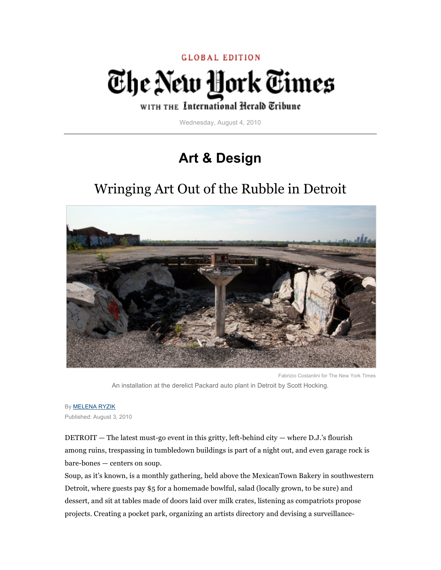## **GLOBAL EDITION** The New York Times

## WITH THE International Herald Tribune

Wednesday, August 4, 2010

## **Art & Design**

## Wringing Art Out of the Rubble in Detroit



Fabrizio Costantini for The New York Times An installation at the derelict Packard auto plant in Detroit by Scott Hocking.

By MELENA RYZIK Published: August 3, 2010

DETROIT — The latest must-go event in this gritty, left-behind city — where D.J.'s flourish among ruins, trespassing in tumbledown buildings is part of a night out, and even garage rock is bare-bones — centers on soup.

Soup, as it's known, is a monthly gathering, held above the MexicanTown Bakery in southwestern Detroit, where guests pay \$5 for a homemade bowlful, salad (locally grown, to be sure) and dessert, and sit at tables made of doors laid over milk crates, listening as compatriots propose projects. Creating a pocket park, organizing an artists directory and devising a surveillance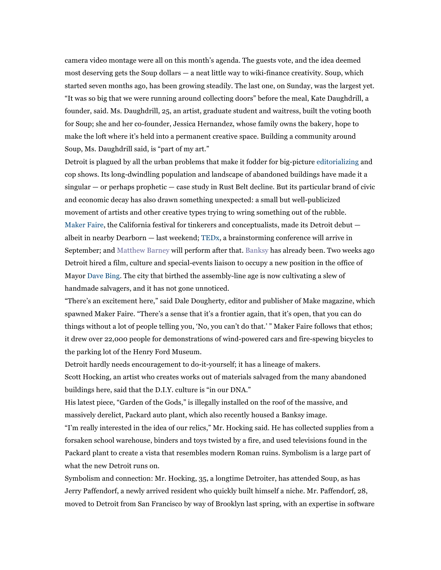camera video montage were all on this month's agenda. The guests vote, and the idea deemed most deserving gets the Soup dollars — a neat little way to wiki-finance creativity. Soup, which started seven months ago, has been growing steadily. The last one, on Sunday, was the largest yet. "It was so big that we were running around collecting doors" before the meal, Kate Daughdrill, a founder, said. Ms. Daughdrill, 25, an artist, graduate student and waitress, built the voting booth for Soup; she and her co-founder, Jessica Hernandez, whose family owns the bakery, hope to make the loft where it's held into a permanent creative space. Building a community around Soup, Ms. Daughdrill said, is "part of my art."

Detroit is plagued by all the urban problems that make it fodder for big-picture editorializing and cop shows. Its long-dwindling population and landscape of abandoned buildings have made it a singular — or perhaps prophetic — case study in Rust Belt decline. But its particular brand of civic and economic decay has also drawn something unexpected: a small but well-publicized movement of artists and other creative types trying to wring something out of the rubble. Maker Faire, the California festival for tinkerers and conceptualists, made its Detroit debut albeit in nearby Dearborn — last weekend; TEDx, a brainstorming conference will arrive in September; and Matthew Barney will perform after that. Banksy has already been. Two weeks ago Detroit hired a film, culture and special-events liaison to occupy a new position in the office of Mayor Dave Bing. The city that birthed the assembly-line age is now cultivating a slew of handmade salvagers, and it has not gone unnoticed.

"There's an excitement here," said Dale Dougherty, editor and publisher of Make magazine, which spawned Maker Faire. "There's a sense that it's a frontier again, that it's open, that you can do things without a lot of people telling you, 'No, you can't do that.' " Maker Faire follows that ethos; it drew over 22,000 people for demonstrations of wind-powered cars and fire-spewing bicycles to the parking lot of the Henry Ford Museum.

Detroit hardly needs encouragement to do-it-yourself; it has a lineage of makers.

Scott Hocking, an artist who creates works out of materials salvaged from the many abandoned buildings here, said that the D.I.Y. culture is "in our DNA."

His latest piece, "Garden of the Gods," is illegally installed on the roof of the massive, and massively derelict, Packard auto plant, which also recently housed a Banksy image.

"I'm really interested in the idea of our relics," Mr. Hocking said. He has collected supplies from a forsaken school warehouse, binders and toys twisted by a fire, and used televisions found in the Packard plant to create a vista that resembles modern Roman ruins. Symbolism is a large part of what the new Detroit runs on.

Symbolism and connection: Mr. Hocking, 35, a longtime Detroiter, has attended Soup, as has Jerry Paffendorf, a newly arrived resident who quickly built himself a niche. Mr. Paffendorf, 28, moved to Detroit from San Francisco by way of Brooklyn last spring, with an expertise in software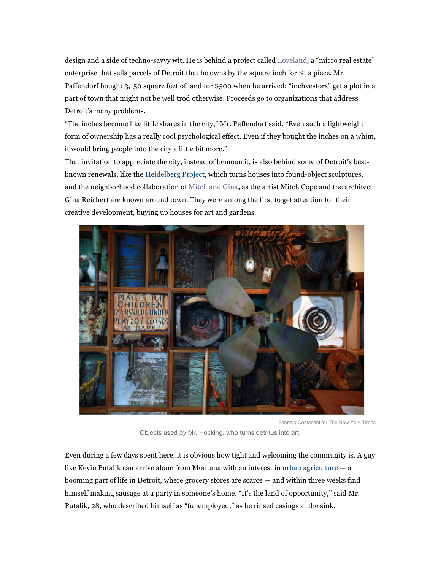design and a side of techno-savvy wit. He is behind a project called Loveland, a "micro real estate" enterprise that sells parcels of Detroit that he owns by the square inch for \$1 a piece. Mr. Paffendorf bought 3,150 square feet of land for \$500 when he arrived; "inchvestors" get a plot in a part of town that might not be well trod otherwise. Proceeds go to organizations that address Detroit's many problems.

"The inches become like little shares in the city," Mr. Paffendorf said. "Even such a lightweight form of ownership has a really cool psychological effect. Even if they bought the inches on a whim, it would bring people into the city a little bit more."

That invitation to appreciate the city, instead of bemoan it, is also behind some of Detroit's bestknown renewals, like the Heidelberg Project, which turns houses into found-object sculptures, and the neighborhood collaboration of Mitch and Gina, as the artist Mitch Cope and the architect Gina Reichert are known around town. They were among the first to get attention for their creative development, buying up houses for art and gardens.



Fabrizio Costantini for The New York Times

Objects used by Mr. Hocking, who turns detritus into art.

Even during a few days spent here, it is obvious how tight and welcoming the community is. A guy like Kevin Putalik can arrive alone from Montana with an interest in urban agriculture  $-\mathbf{a}$ booming part of life in Detroit, where grocery stores are scarce — and within three weeks find himself making sausage at a party in someone's home. "It's the land of opportunity," said Mr. Putalik, 28, who described himself as "funemployed," as he rinsed casings at the sink.